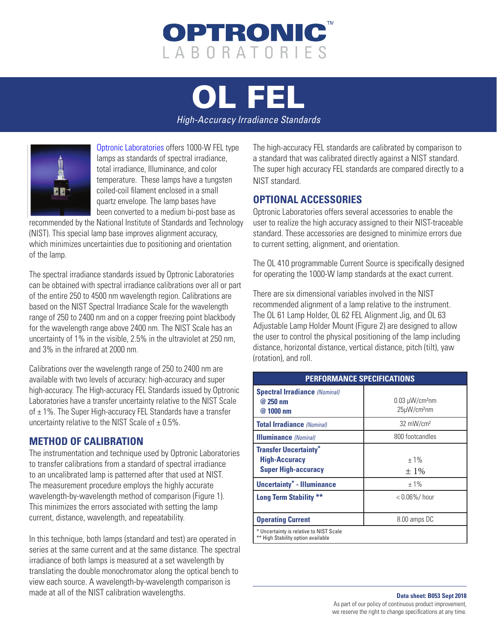

[OL FEL](https://optroniclabs.com/products/spectral-irradiance-illuminance-standards/ol-fel-high-accuracy-irradiance-standard/)

*High-Accuracy Irradiance Standards*



[Optronic Laboratories](https://optroniclabs.com) offers 1000-W FEL type lamps as standards of spectral irradiance, total irradiance, Illuminance, and color temperature. These lamps have a tungsten coiled-coil filament enclosed in a small quartz envelope. The lamp bases have been converted to a medium bi-post base as

recommended by the National Institute of Standards and Technology (NIST). This special lamp base improves alignment accuracy, which minimizes uncertainties due to positioning and orientation of the lamp.

The spectral irradiance standards issued by Optronic Laboratories can be obtained with spectral irradiance calibrations over all or part of the entire 250 to 4500 nm wavelength region. Calibrations are based on the NIST Spectral Irradiance Scale for the wavelength range of 250 to 2400 nm and on a copper freezing point blackbody for the wavelength range above 2400 nm. The NIST Scale has an uncertainty of 1% in the visible, 2.5% in the ultraviolet at 250 nm, and 3% in the infrared at 2000 nm.

Calibrations over the wavelength range of 250 to 2400 nm are available with two levels of accuracy: high-accuracy and super high-accuracy. The High-accuracy FEL Standards issued by Optronic Laboratories have a transfer uncertainty relative to the NIST Scale of  $\pm$  1%. The Super High-accuracy FEL Standards have a transfer uncertainty relative to the NIST Scale of  $\pm$  0.5%.

## **METHOD OF CALIBRATION**

The instrumentation and technique used by Optronic Laboratories to transfer calibrations from a standard of spectral irradiance to an uncalibrated lamp is patterned after that used at NIST. The measurement procedure employs the highly accurate wavelength-by-wavelength method of comparison (Figure 1). This minimizes the errors associated with setting the lamp current, distance, wavelength, and repeatability.

In this technique, both lamps (standard and test) are operated in series at the same current and at the same distance. The spectral irradiance of both lamps is measured at a set wavelength by translating the double monochromator along the optical bench to view each source. A wavelength-by-wavelength comparison is made at all of the NIST calibration wavelengths.

The high-accuracy FEL standards are calibrated by comparison to a standard that was calibrated directly against a NIST standard. The super high accuracy FEL standards are compared directly to a NIST standard.

## **OPTIONAL ACCESSORIES**

Optronic Laboratories offers several accessories to enable the user to realize the high accuracy assigned to their NIST-traceable standard. These accessories are designed to minimize errors due to current setting, alignment, and orientation.

The OL 410 programmable Current Source is specifically designed for operating the 1000-W lamp standards at the exact current.

There are six dimensional variables involved in the NIST recommended alignment of a lamp relative to the instrument. The OL 61 Lamp Holder, OL 62 FEL Alignment Jig, and OL 63 Adjustable Lamp Holder Mount (Figure 2) are designed to allow the user to control the physical positioning of the lamp including distance, horizontal distance, vertical distance, pitch (tilt), yaw (rotation), and roll.

| <b>PERFORMANCE SPECIFICATIONS</b>                                                  |                                                 |
|------------------------------------------------------------------------------------|-------------------------------------------------|
| <b>Spectral Irradiance (Nominal)</b><br>@ 250 nm<br>@ 1000 nm                      | $0.03 \mu W/cm^2$ nm<br>25µW/cm <sup>2</sup> nm |
| <b>Total Irradiance (Nominal)</b>                                                  | 32 mW/cm <sup>2</sup>                           |
| <b>Illuminance</b> (Nominal)                                                       | 800 footcandles                                 |
| <b>Transfer Uncertainty*</b><br><b>High-Accuracy</b><br><b>Super High-accuracy</b> | $+1\%$<br>$\pm 1\%$                             |
| <b>Uncertainty* - Illuminance</b>                                                  | $±1\%$                                          |
| <b>Long Term Stability **</b>                                                      | $< 0.06\% /$ hour                               |
| <b>Operating Current</b>                                                           | 8.00 amps DC                                    |
| * Uncertainty is relative to NIST Scale<br>** High Stability option available      |                                                 |